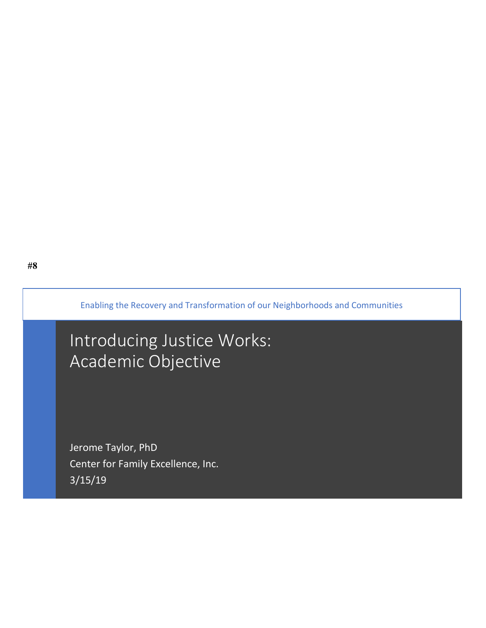Enabling the Recovery and Transformation of our Neighborhoods and Communities

# Introducing Justice Works: Academic Objective

Jerome Taylor, PhD Center for Family Excellence, Inc. 3/15/19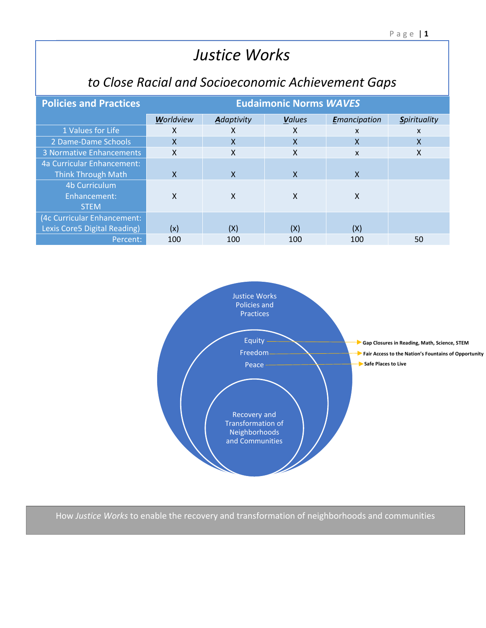## **Justice Works**

### to Close Racial and Socioeconomic Achievement Gaps

| <b>Policies and Practices</b>   | <b>Eudaimonic Norms WAVES</b> |                           |               |                  |                     |  |  |  |
|---------------------------------|-------------------------------|---------------------------|---------------|------------------|---------------------|--|--|--|
|                                 | Worldview                     | Adaptivity                | <b>Values</b> | Emancipation     | <b>Spirituality</b> |  |  |  |
| 1 Values for Life               | X                             | x                         | x             | X                | X                   |  |  |  |
| 2 Dame-Dame Schools             | $\mathsf{x}$                  | $\mathsf{x}$              | X             | X                | X                   |  |  |  |
| <b>3 Normative Enhancements</b> | X                             | $\boldsymbol{\mathsf{x}}$ | X             | $\boldsymbol{x}$ | X                   |  |  |  |
| 4a Curricular Enhancement:      |                               |                           |               |                  |                     |  |  |  |
| <b>Think Through Math</b>       | X                             | X                         | X             | X                |                     |  |  |  |
| 4b Curriculum                   |                               |                           |               |                  |                     |  |  |  |
| Enhancement:                    | X                             | X                         | X             | X                |                     |  |  |  |
| <b>STEM</b>                     |                               |                           |               |                  |                     |  |  |  |
| (4c Curricular Enhancement:     |                               |                           |               |                  |                     |  |  |  |
| Lexis Core5 Digital Reading)    | (x)                           | (X)                       | (X)           | (X)              |                     |  |  |  |
| Percent:                        | 100                           | 100                       | 100           | 100              | 50                  |  |  |  |



How Justice Works to enable the recovery and transformation of neighborhoods and communities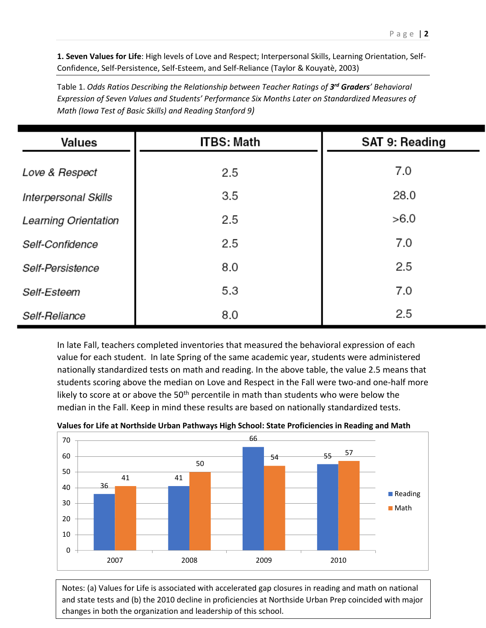**1. Seven Values for Life**: High levels of Love and Respect; Interpersonal Skills, Learning Orientation, Self-Confidence, Self-Persistence, Self-Esteem, and Self-Reliance (Taylor & Kouyatè, 2003)

Table 1. *Odds Ratios Describing the Relationship between Teacher Ratings of 3 rd Graders' Behavioral Expression of Seven Values and Students' Performance Six Months Later on Standardized Measures of Math (Iowa Test of Basic Skills) and Reading Stanford 9)*

| Values               | <b>ITBS: Math</b> | SAT 9: Reading |  |
|----------------------|-------------------|----------------|--|
| Love & Respect       | 2.5               | 7.0            |  |
| Interpersonal Skills | 3.5               | 28.0           |  |
| Learning Orientation | 2.5               | >6.0           |  |
| Self-Confidence      | 2.5               | 7.0            |  |
| Self-Persistence     | 8.0               | 2.5            |  |
| Self-Esteem          | 5.3               | 7.0            |  |
| Self-Reliance        | 8.0               | 2.5            |  |

In late Fall, teachers completed inventories that measured the behavioral expression of each value for each student. In late Spring of the same academic year, students were administered nationally standardized tests on math and reading. In the above table, the value 2.5 means that students scoring above the median on Love and Respect in the Fall were two-and one-half more likely to score at or above the  $50<sup>th</sup>$  percentile in math than students who were below the median in the Fall. Keep in mind these results are based on nationally standardized tests.



**Values for Life at Northside Urban Pathways High School: State Proficiencies in Reading and Math**

and state tests and (b) the 2010 decline in proficiencies at Northside Urban Prep coincided with major Notes: (a) Values for Life is associated with accelerated gap closures in reading and math on national changes in both the organization and leadership of this school.